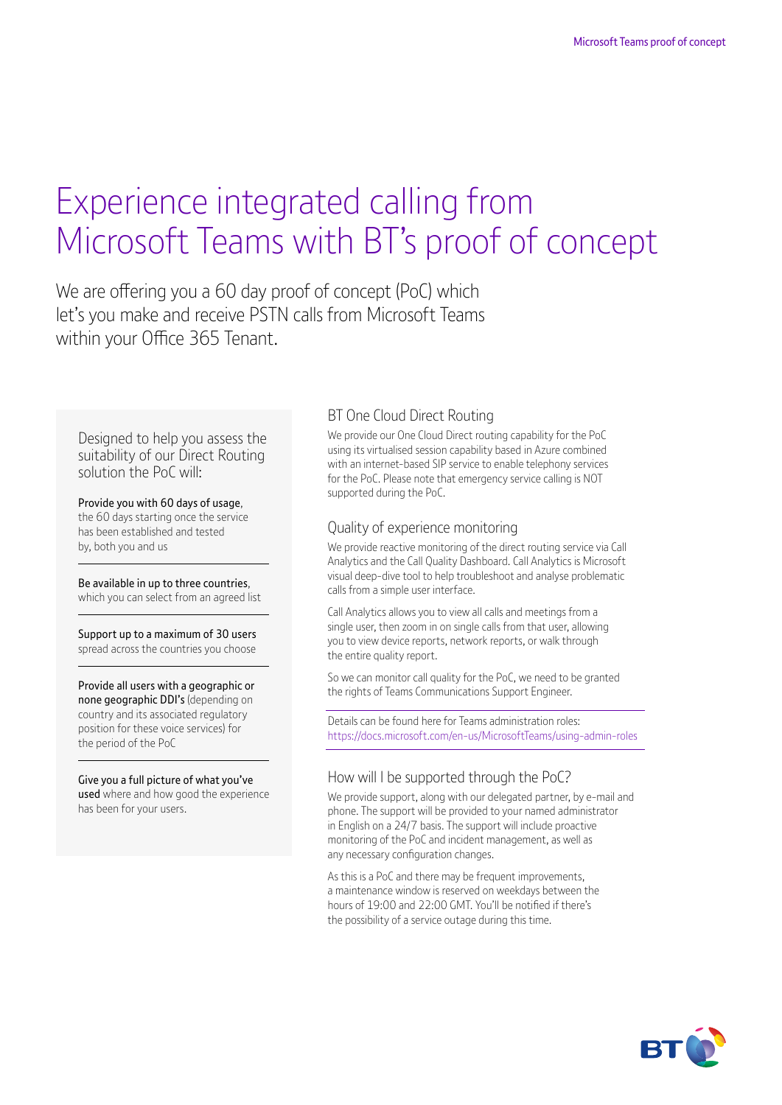### Experience integrated calling from Microsoft Teams with BT's proof of concept

We are offering you a 60 day proof of concept (PoC) which let's you make and receive PSTN calls from Microsoft Teams within your Office 365 Tenant.

Designed to help you assess the suitability of our Direct Routing solution the PoC will:

Provide you with 60 days of usage, the 60 days starting once the service has been established and tested by, both you and us

Be available in up to three countries, which you can select from an agreed list

Support up to a maximum of 30 users spread across the countries you choose

Provide all users with a geographic or none geographic DDI's (depending on country and its associated regulatory position for these voice services) for the period of the PoC

Give you a full picture of what you've used where and how good the experience has been for your users.

### BT One Cloud Direct Routing

We provide our One Cloud Direct routing capability for the PoC using its virtualised session capability based in Azure combined with an internet-based SIP service to enable telephony services for the PoC. Please note that emergency service calling is NOT supported during the PoC.

#### Quality of experience monitoring

We provide reactive monitoring of the direct routing service via Call Analytics and the Call Quality Dashboard. Call Analytics is Microsoft visual deep-dive tool to help troubleshoot and analyse problematic calls from a simple user interface.

Call Analytics allows you to view all calls and meetings from a single user, then zoom in on single calls from that user, allowing you to view device reports, network reports, or walk through the entire quality report.

So we can monitor call quality for the PoC, we need to be granted the rights of Teams Communications Support Engineer.

Details can be found here for Teams administration roles: https://docs.microsoft.com/en-us/MicrosoftTeams/using-admin-roles

### How will I be supported through the PoC?

We provide support, along with our delegated partner, by e-mail and phone. The support will be provided to your named administrator in English on a 24/7 basis. The support will include proactive monitoring of the PoC and incident management, as well as any necessary configuration changes.

As this is a PoC and there may be frequent improvements, a maintenance window is reserved on weekdays between the hours of 19:00 and 22:00 GMT. You'll be notified if there's the possibility of a service outage during this time.